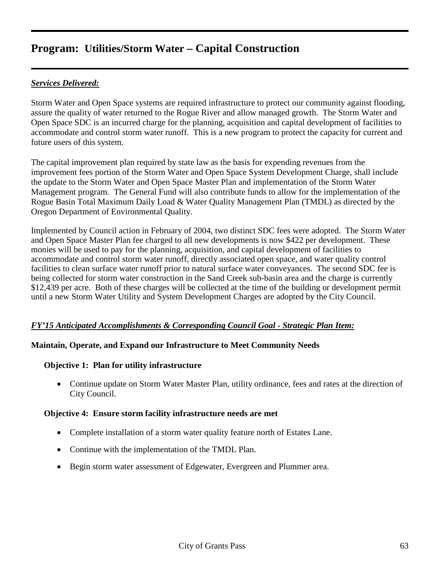# *Services Delivered:*

Storm Water and Open Space systems are required infrastructure to protect our community against flooding, assure the quality of water returned to the Rogue River and allow managed growth. The Storm Water and Open Space SDC is an incurred charge for the planning, acquisition and capital development of facilities to accommodate and control storm water runoff. This is a new program to protect the capacity for current and future users of this system.

The capital improvement plan required by state law as the basis for expending revenues from the improvement fees portion of the Storm Water and Open Space System Development Charge, shall include the update to the Storm Water and Open Space Master Plan and implementation of the Storm Water Management program. The General Fund will also contribute funds to allow for the implementation of the Rogue Basin Total Maximum Daily Load & Water Quality Management Plan (TMDL) as directed by the Oregon Department of Environmental Quality.

Implemented by Council action in February of 2004, two distinct SDC fees were adopted. The Storm Water and Open Space Master Plan fee charged to all new developments is now \$422 per development. These monies will be used to pay for the planning, acquisition, and capital development of facilities to accommodate and control storm water runoff, directly associated open space, and water quality control facilities to clean surface water runoff prior to natural surface water conveyances. The second SDC fee is being collected for storm water construction in the Sand Creek sub-basin area and the charge is currently \$12,439 per acre. Both of these charges will be collected at the time of the building or development permit until a new Storm Water Utility and System Development Charges are adopted by the City Council.

# *FY'15 Anticipated Accomplishments & Corresponding Council Goal - Strategic Plan Item:*

## **Maintain, Operate, and Expand our Infrastructure to Meet Community Needs**

## **Objective 1: Plan for utility infrastructure**

• Continue update on Storm Water Master Plan, utility ordinance, fees and rates at the direction of City Council.

## **Objective 4: Ensure storm facility infrastructure needs are met**

- Complete installation of a storm water quality feature north of Estates Lane.
- Continue with the implementation of the TMDL Plan.
- Begin storm water assessment of Edgewater, Evergreen and Plummer area.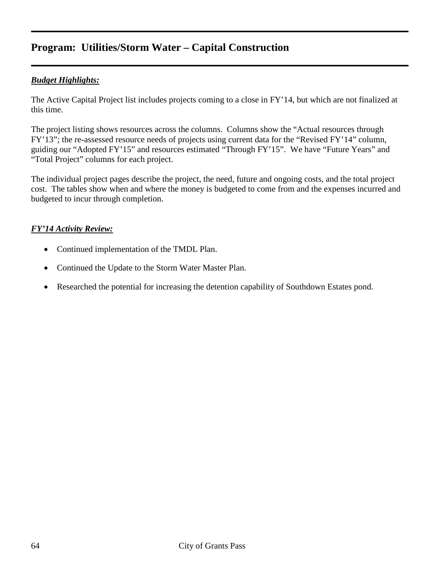# *Budget Highlights:*

The Active Capital Project list includes projects coming to a close in FY'14, but which are not finalized at this time.

The project listing shows resources across the columns. Columns show the "Actual resources through FY'13"; the re-assessed resource needs of projects using current data for the "Revised FY'14" column, guiding our "Adopted FY'15" and resources estimated "Through FY'15". We have "Future Years" and "Total Project" columns for each project.

The individual project pages describe the project, the need, future and ongoing costs, and the total project cost. The tables show when and where the money is budgeted to come from and the expenses incurred and budgeted to incur through completion.

# *FY'14 Activity Review:*

- Continued implementation of the TMDL Plan.
- Continued the Update to the Storm Water Master Plan.
- Researched the potential for increasing the detention capability of Southdown Estates pond.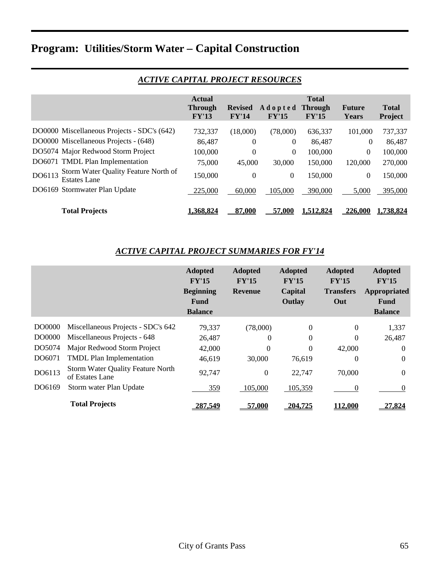|        |                                                             | <b>Actual</b>  |                  |               | <b>Total</b>      |                |                  |
|--------|-------------------------------------------------------------|----------------|------------------|---------------|-------------------|----------------|------------------|
|        |                                                             | <b>Through</b> | <b>Revised</b>   | Adopted       | <b>Through</b>    | <b>Future</b>  | <b>Total</b>     |
|        |                                                             | FY'13          | FY'14            | FY'15         | FY'15             | Years          | Project          |
|        | DO0000 Miscellaneous Projects - SDC's (642)                 | 732,337        | (18,000)         | (78,000)      | 636.337           | 101,000        | 737,337          |
|        | DO0000 Miscellaneous Projects - (648)                       | 86,487         | $\Omega$         | $\theta$      | 86,487            | $\Omega$       | 86,487           |
|        | DO5074 Major Redwood Storm Project                          | 100,000        | $\boldsymbol{0}$ | $\theta$      | 100,000           | $\theta$       | 100,000          |
|        | DO6071 TMDL Plan Implementation                             | 75,000         | 45,000           | 30,000        | 150,000           | 120,000        | 270,000          |
| DO6113 | Storm Water Quality Feature North of<br><b>Estates Lane</b> | 150,000        | $\theta$         | $\theta$      | 150,000           | $\overline{0}$ | 150,000          |
|        | DO6169 Stormwater Plan Update                               | 225,000        | 60,000           | 105,000       | 390,000           | 5,000          | 395,000          |
|        | <b>Total Projects</b>                                       | .368.824       | 87,000           | <u>57,000</u> | 1,5 <u>12,824</u> | 226.000        | <u>1,738,824</u> |

# *ACTIVE CAPITAL PROJECT RESOURCES*

# *ACTIVE CAPITAL PROJECT SUMMARIES FOR FY'14*

|        |                                                             | <b>Adopted</b><br>FY'15<br><b>Beginning</b><br>Fund<br><b>Balance</b> | <b>Adopted</b><br>FY'15<br><b>Revenue</b> | <b>Adopted</b><br>FY'15<br>Capital<br>Outlay | <b>Adopted</b><br>FY'15<br><b>Transfers</b><br>Out | <b>Adopted</b><br>FY'15<br>Appropriated<br>Fund<br><b>Balance</b> |
|--------|-------------------------------------------------------------|-----------------------------------------------------------------------|-------------------------------------------|----------------------------------------------|----------------------------------------------------|-------------------------------------------------------------------|
| DO0000 | Miscellaneous Projects - SDC's 642                          | 79,337                                                                | (78,000)                                  | $\Omega$                                     | $\theta$                                           | 1,337                                                             |
| DO0000 | Miscellaneous Projects - 648                                | 26,487                                                                | $\Omega$                                  | 0                                            | 0                                                  | 26,487                                                            |
| DO5074 | Major Redwood Storm Project                                 | 42,000                                                                | $\Omega$                                  | $\theta$                                     | 42,000                                             | $\Omega$                                                          |
| DO6071 | <b>TMDL Plan Implementation</b>                             | 46,619                                                                | 30,000                                    | 76,619                                       | 0                                                  | $\Omega$                                                          |
| DO6113 | <b>Storm Water Quality Feature North</b><br>of Estates Lane | 92,747                                                                | $\boldsymbol{0}$                          | 22,747                                       | 70,000                                             | $\theta$                                                          |
| DO6169 | Storm water Plan Update                                     | 359                                                                   | 105,000                                   | 105,359                                      | $\Omega$                                           | $\Omega$                                                          |
|        | <b>Total Projects</b>                                       | <u>287.549</u>                                                        | 57.000                                    | <u>204.725</u>                               | 112.000                                            | <u>27.824</u>                                                     |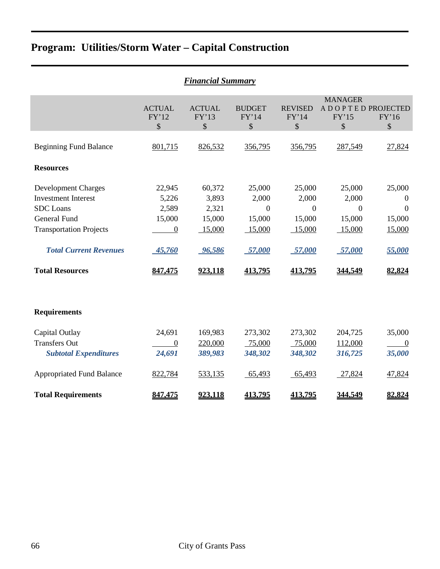|                                                                                                                                                                                                  |                                                                           |                                                                   |                                                                          |                                                                          | <b>Financial Summary</b>                                                     |                                                                                        |  |  |  |  |  |  |  |  |  |  |
|--------------------------------------------------------------------------------------------------------------------------------------------------------------------------------------------------|---------------------------------------------------------------------------|-------------------------------------------------------------------|--------------------------------------------------------------------------|--------------------------------------------------------------------------|------------------------------------------------------------------------------|----------------------------------------------------------------------------------------|--|--|--|--|--|--|--|--|--|--|
|                                                                                                                                                                                                  | <b>ACTUAL</b><br>FY'12<br>\$                                              | <b>ACTUAL</b><br>FY'13<br>\$                                      | <b>BUDGET</b><br>FY'14<br>\$                                             | <b>REVISED</b><br>FY'14<br>\$                                            | <b>MANAGER</b><br>A D O P T E D PROJECTED<br>FY'15<br>\$                     | FY'16<br>\$                                                                            |  |  |  |  |  |  |  |  |  |  |
| <b>Beginning Fund Balance</b>                                                                                                                                                                    | 801,715                                                                   | 826,532                                                           | 356,795                                                                  | 356,795                                                                  | 287,549                                                                      | 27,824                                                                                 |  |  |  |  |  |  |  |  |  |  |
| <b>Resources</b>                                                                                                                                                                                 |                                                                           |                                                                   |                                                                          |                                                                          |                                                                              |                                                                                        |  |  |  |  |  |  |  |  |  |  |
| <b>Development Charges</b><br><b>Investment Interest</b><br><b>SDC</b> Loans<br><b>General Fund</b><br><b>Transportation Projects</b><br><b>Total Current Revenues</b><br><b>Total Resources</b> | 22,945<br>5,226<br>2,589<br>15,000<br>$\overline{0}$<br>45,760<br>847,475 | 60,372<br>3,893<br>2,321<br>15,000<br>15,000<br>96,586<br>923,118 | 25,000<br>2,000<br>$\mathbf{0}$<br>15,000<br>15,000<br>57,000<br>413,795 | 25,000<br>2,000<br>$\mathbf{0}$<br>15,000<br>15,000<br>57,000<br>413,795 | 25,000<br>2,000<br>$\boldsymbol{0}$<br>15,000<br>15,000<br>57,000<br>344,549 | 25,000<br>$\boldsymbol{0}$<br>$\boldsymbol{0}$<br>15,000<br>15,000<br>55,000<br>82,824 |  |  |  |  |  |  |  |  |  |  |
| <b>Requirements</b>                                                                                                                                                                              |                                                                           |                                                                   |                                                                          |                                                                          |                                                                              |                                                                                        |  |  |  |  |  |  |  |  |  |  |
| Capital Outlay<br><b>Transfers Out</b><br><b>Subtotal Expenditures</b>                                                                                                                           | 24,691<br>$\boldsymbol{0}$<br>24,691                                      | 169,983<br>220,000<br>389,983                                     | 273,302<br>75,000<br>348,302                                             | 273,302<br>75,000<br>348,302                                             | 204,725<br>112,000<br>316,725                                                | 35,000<br>$\overline{0}$<br>35,000                                                     |  |  |  |  |  |  |  |  |  |  |
| <b>Appropriated Fund Balance</b>                                                                                                                                                                 | 822,784                                                                   | 533,135                                                           | 65,493                                                                   | 65,493                                                                   | 27,824                                                                       | 47,824                                                                                 |  |  |  |  |  |  |  |  |  |  |
| <b>Total Requirements</b>                                                                                                                                                                        | 847,475                                                                   | 923,118                                                           | 413,795                                                                  | 413,795                                                                  | 344,549                                                                      | 82,824                                                                                 |  |  |  |  |  |  |  |  |  |  |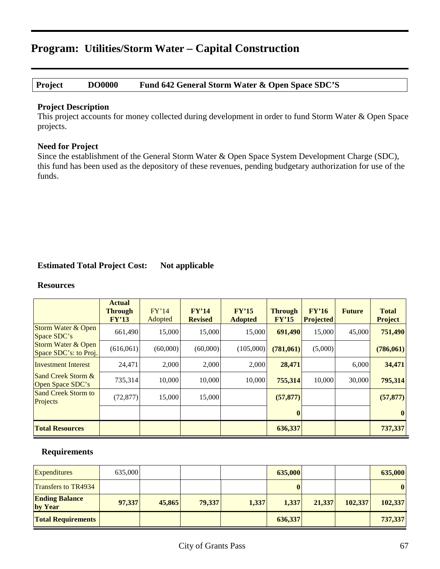**Project DO0000 Fund 642 General Storm Water & Open Space SDC'S**

#### **Project Description**

This project accounts for money collected during development in order to fund Storm Water & Open Space projects.

#### **Need for Project**

Since the establishment of the General Storm Water & Open Space System Development Charge (SDC), this fund has been used as the depository of these revenues, pending budgetary authorization for use of the funds.

## **Estimated Total Project Cost: Not applicable**

#### **Resources**

|                                                        | <b>Actual</b><br><b>Through</b><br>FY'13 | FY'14<br>Adopted | FY'14<br><b>Revised</b> | FY'15<br><b>Adopted</b> | <b>Through</b><br>FY'15 | FY'16<br><b>Projected</b> | <b>Future</b> | <b>Total</b><br><b>Project</b> |
|--------------------------------------------------------|------------------------------------------|------------------|-------------------------|-------------------------|-------------------------|---------------------------|---------------|--------------------------------|
| <b>Storm Water &amp; Open</b><br>Space SDC's           | 661,490                                  | 15,000           | 15,000                  | 15,000                  | 691,490                 | 15,000                    | 45,000        | 751,490                        |
| <b>Storm Water &amp; Open</b><br>Space SDC's: to Proj. | (616,061)                                | (60,000)         | (60,000)                | (105,000)               | (781,061)               | (5,000)                   |               | (786, 061)                     |
| <b>Investment Interest</b>                             | 24,471                                   | 2,000            | 2,000                   | 2,000                   | 28,471                  |                           | 6,000         | 34,471                         |
| Sand Creek Storm &<br>Open Space SDC's                 | 735,314                                  | 10,000           | 10,000                  | 10.000                  | 755,314                 | 10.000                    | 30,000        | 795,314                        |
| <b>Sand Creek Storm to</b><br>Projects                 | (72, 877)                                | 15,000           | 15,000                  |                         | (57, 877)               |                           |               | (57, 877)                      |
|                                                        |                                          |                  |                         |                         | $\mathbf{0}$            |                           |               | $\mathbf{0}$                   |
| <b>Total Resources</b>                                 |                                          |                  |                         |                         | 636,337                 |                           |               | 737,337                        |

| <b>Expenditures</b>              | 635,000 |        |        |       | 635,000 |        |         | 635,000 |
|----------------------------------|---------|--------|--------|-------|---------|--------|---------|---------|
| <b>Transfers to TR4934</b>       |         |        |        |       |         |        |         |         |
| <b>Ending Balance</b><br>by Year | 97,337  | 45,865 | 79,337 | 1,337 | 1,337   | 21,337 | 102,337 | 102,337 |
| <b>Total Requirements</b>        |         |        |        |       | 636,337 |        |         | 737,337 |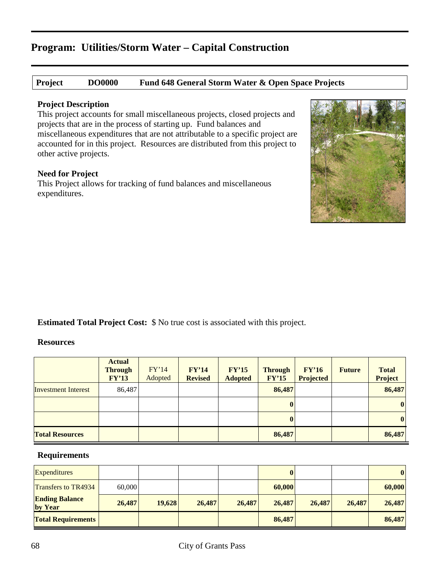# **Project DO0000 Fund 648 General Storm Water & Open Space Projects**

## **Project Description**

This project accounts for small miscellaneous projects, closed projects and projects that are in the process of starting up. Fund balances and miscellaneous expenditures that are not attributable to a specific project are accounted for in this project. Resources are distributed from this project to other active projects.

#### **Need for Project**

This Project allows for tracking of fund balances and miscellaneous expenditures.



**Estimated Total Project Cost:**  $\$\text{No true cost}$  is associated with this project.

#### **Resources**

|                            | <b>Actual</b><br><b>Through</b><br>FY'13 | FY'14<br>Adopted | FY'14<br><b>Revised</b> | FY'15<br><b>Adopted</b> | <b>Through</b><br>FY'15 | FY'16<br><b>Projected</b> | <b>Future</b> | <b>Total</b><br><b>Project</b> |
|----------------------------|------------------------------------------|------------------|-------------------------|-------------------------|-------------------------|---------------------------|---------------|--------------------------------|
| <b>Investment Interest</b> | 86,487                                   |                  |                         |                         | 86,487                  |                           |               | 86,487                         |
|                            |                                          |                  |                         |                         | $\mathbf{0}$            |                           |               | $\vert 0 \vert$                |
|                            |                                          |                  |                         |                         |                         |                           |               | $\boldsymbol{0}$               |
| <b>Total Resources</b>     |                                          |                  |                         |                         | 86,487                  |                           |               | 86,487                         |

| <b>Expenditures</b>              |        |        |        |        | $\bf{0}$ |        |        | $\boldsymbol{0}$ |
|----------------------------------|--------|--------|--------|--------|----------|--------|--------|------------------|
| <b>Transfers to TR4934</b>       | 60,000 |        |        |        | 60,000   |        |        | 60,000           |
| <b>Ending Balance</b><br>by Year | 26,487 | 19,628 | 26,487 | 26,487 | 26,487   | 26,487 | 26,487 | 26,487           |
| <b>Total Requirements</b>        |        |        |        |        | 86,487   |        |        | 86,487           |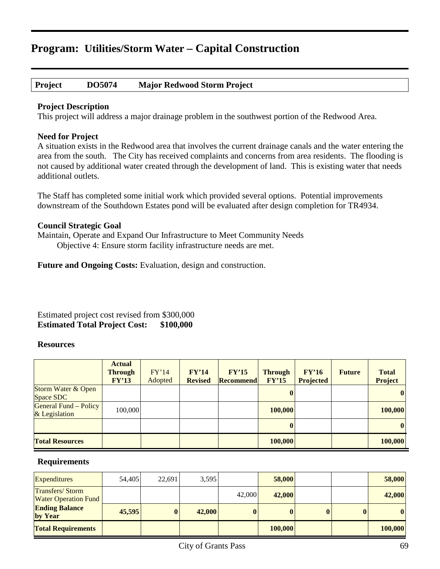## **Project DO5074 Major Redwood Storm Project**

#### **Project Description**

This project will address a major drainage problem in the southwest portion of the Redwood Area.

#### **Need for Project**

A situation exists in the Redwood area that involves the current drainage canals and the water entering the area from the south. The City has received complaints and concerns from area residents. The flooding is not caused by additional water created through the development of land. This is existing water that needs additional outlets.

The Staff has completed some initial work which provided several options. Potential improvements downstream of the Southdown Estates pond will be evaluated after design completion for TR4934.

#### **Council Strategic Goal**

Maintain, Operate and Expand Our Infrastructure to Meet Community Needs Objective 4: Ensure storm facility infrastructure needs are met.

**Future and Ongoing Costs:** Evaluation, design and construction.

## Estimated project cost revised from \$300,000 **Estimated Total Project Cost: \$100,000**

#### **Resources**

|                                            | <b>Actual</b><br><b>Through</b><br>FY'13 | FY'14<br>Adopted | FY'14<br><b>Revised</b> | FY'15<br><b>Recommend</b> | <b>Through</b><br>FY'15 | FY'16<br><b>Projected</b> | <b>Future</b> | <b>Total</b><br>Project |
|--------------------------------------------|------------------------------------------|------------------|-------------------------|---------------------------|-------------------------|---------------------------|---------------|-------------------------|
| <b>Storm Water &amp; Open</b><br>Space SDC |                                          |                  |                         |                           |                         |                           |               | $\bf{0}$                |
| General Fund – Policy<br>& Legislation     | 100,000                                  |                  |                         |                           | 100,000                 |                           |               | 100,000                 |
|                                            |                                          |                  |                         |                           |                         |                           |               |                         |
| <b>Total Resources</b>                     |                                          |                  |                         |                           | 100,000                 |                           |               | 100,000                 |

| <b>Expenditures</b>                                   | 54.405 | 22,691   | 3,595  |          | 58,000  |          | 58,000           |
|-------------------------------------------------------|--------|----------|--------|----------|---------|----------|------------------|
| <b>Transfers/Storm</b><br><b>Water Operation Fund</b> |        |          |        | 42,000   | 42,000  |          | 42,000           |
| <b>Ending Balance</b><br>by Year                      | 45,595 | $\bf{0}$ | 42,000 | $\bf{0}$ |         | $\bf{0}$ | $\boldsymbol{0}$ |
| <b>Total Requirements</b>                             |        |          |        |          | 100,000 |          | 100,000          |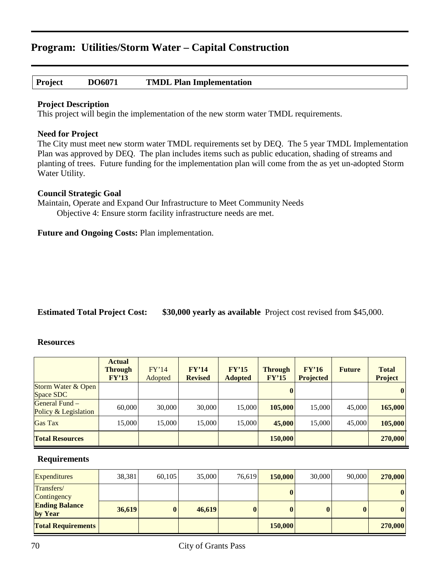### **Project DO6071 TMDL Plan Implementation**

#### **Project Description**

This project will begin the implementation of the new storm water TMDL requirements.

#### **Need for Project**

The City must meet new storm water TMDL requirements set by DEQ. The 5 year TMDL Implementation Plan was approved by DEQ. The plan includes items such as public education, shading of streams and planting of trees. Future funding for the implementation plan will come from the as yet un-adopted Storm Water Utility.

#### **Council Strategic Goal**

Maintain, Operate and Expand Our Infrastructure to Meet Community Needs Objective 4: Ensure storm facility infrastructure needs are met.

**Future and Ongoing Costs:** Plan implementation.

**Estimated Total Project Cost: \$30,000 yearly as available** Project cost revised from \$45,000.

#### **Resources**

|                                            | <b>Actual</b><br>Through<br>FY'13 | FY'14<br>Adopted | FY'14<br><b>Revised</b> | FY'15<br><b>Adopted</b> | <b>Through</b><br>FY'15 | FY'16<br><b>Projected</b> | <b>Future</b> | <b>Total</b><br>Project |
|--------------------------------------------|-----------------------------------|------------------|-------------------------|-------------------------|-------------------------|---------------------------|---------------|-------------------------|
| <b>Storm Water &amp; Open</b><br>Space SDC |                                   |                  |                         |                         | $\bf{0}$                |                           |               |                         |
| General Fund –<br>Policy & Legislation     | 60,000                            | 30,000           | 30,000                  | 15,000                  | 105,000                 | 15,000                    | 45,000        | 165,000                 |
| <b>Gas Tax</b>                             | 15,000                            | 15,000           | 15,000                  | 15,000                  | 45,000                  | 15,000                    | 45,000        | 105,000                 |
| <b>Total Resources</b>                     |                                   |                  |                         |                         | 150,000                 |                           |               | 270,000                 |

| <b>Expenditures</b>              | 38,381 | 60.105   | 35,000 | 76.619 | 150,000  | 30,000 | 90,000 | 270,000          |
|----------------------------------|--------|----------|--------|--------|----------|--------|--------|------------------|
| Transfers/<br>Contingency        |        |          |        |        | $\bf{0}$ |        |        | $\boldsymbol{0}$ |
| <b>Ending Balance</b><br>by Year | 36,619 | $\bf{0}$ | 46,619 | 0      | $\bf{0}$ |        |        | $\boldsymbol{0}$ |
| <b>Total Requirements</b>        |        |          |        |        | 150,000  |        |        | 270,000          |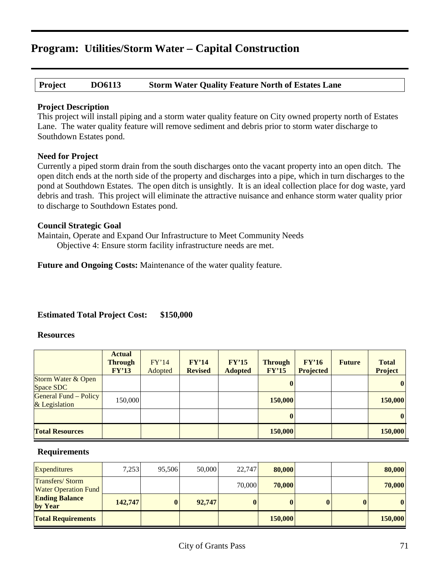**Project DO6113 Storm Water Quality Feature North of Estates Lane**

### **Project Description**

This project will install piping and a storm water quality feature on City owned property north of Estates Lane. The water quality feature will remove sediment and debris prior to storm water discharge to Southdown Estates pond.

## **Need for Project**

Currently a piped storm drain from the south discharges onto the vacant property into an open ditch. The open ditch ends at the north side of the property and discharges into a pipe, which in turn discharges to the pond at Southdown Estates. The open ditch is unsightly. It is an ideal collection place for dog waste, yard debris and trash. This project will eliminate the attractive nuisance and enhance storm water quality prior to discharge to Southdown Estates pond.

## **Council Strategic Goal**

Maintain, Operate and Expand Our Infrastructure to Meet Community Needs

Objective 4: Ensure storm facility infrastructure needs are met.

**Future and Ongoing Costs:** Maintenance of the water quality feature.

## **Estimated Total Project Cost: \$150,000**

#### **Resources**

|                                        | <b>Actual</b><br><b>Through</b><br>FY'13 | FY'14<br>Adopted | FY'14<br><b>Revised</b> | FY'15<br><b>Adopted</b> | <b>Through</b><br>FY'15 | FY'16<br><b>Projected</b> | <b>Future</b> | <b>Total</b><br><b>Project</b> |
|----------------------------------------|------------------------------------------|------------------|-------------------------|-------------------------|-------------------------|---------------------------|---------------|--------------------------------|
| Storm Water & Open<br>Space SDC        |                                          |                  |                         |                         |                         |                           |               | $\bf{0}$                       |
| General Fund – Policy<br>& Legislation | 150,000                                  |                  |                         |                         | 150,000                 |                           |               | 150,000                        |
|                                        |                                          |                  |                         |                         |                         |                           |               | $\bf{0}$                       |
| <b>Total Resources</b>                 |                                          |                  |                         |                         | 150,000                 |                           |               | 150,000                        |

| <b>Expenditures</b>                                   | 7,253   | 95.506   | 50,000 | 22,747   | 80,000  |              | 80,000  |
|-------------------------------------------------------|---------|----------|--------|----------|---------|--------------|---------|
| <b>Transfers/Storm</b><br><b>Water Operation Fund</b> |         |          |        | 70,000   | 70,000  |              | 70,000  |
| <b>Ending Balance</b><br>by Year                      | 142,747 | $\bf{0}$ | 92,747 | $\bf{0}$ |         | $\mathbf{0}$ | 0       |
| <b>Total Requirements</b>                             |         |          |        |          | 150,000 |              | 150,000 |